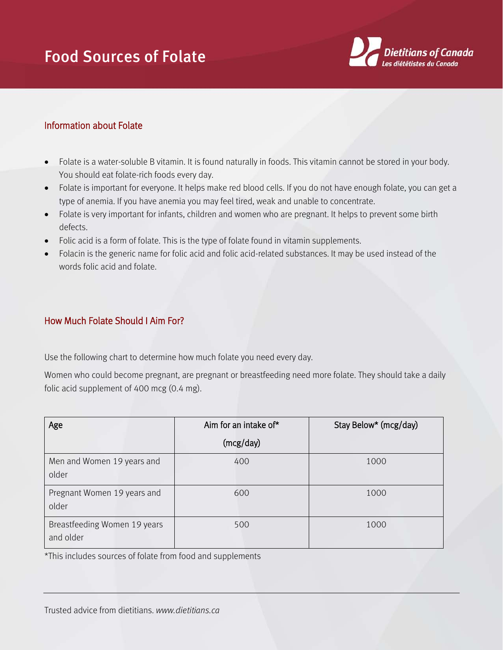## Food Sources of Folate



## Information about Folate

- Folate is a water-soluble B vitamin. It is found naturally in foods. This vitamin cannot be stored in your body. You should eat folate-rich foods every day.
- Folate is important for everyone. It helps make red blood cells. If you do not have enough folate, you can get a type of anemia. If you have anemia you may feel tired, weak and unable to concentrate.
- Folate is very important for infants, children and women who are pregnant. It helps to prevent some birth defects.
- Folic acid is a form of folate. This is the type of folate found in vitamin supplements.
- Folacin is the generic name for folic acid and folic acid-related substances. It may be used instead of the words folic acid and folate.

## How Much Folate Should I Aim For?

Use the following chart to determine how much folate you need every day.

Women who could become pregnant, are pregnant or breastfeeding need more folate. They should take a daily folic acid supplement of 400 mcg (0.4 mg).

| Age                                       | Aim for an intake of* | Stay Below* (mcg/day) |
|-------------------------------------------|-----------------------|-----------------------|
|                                           | (mcg/day)             |                       |
| Men and Women 19 years and<br>older       | 400                   | 1000                  |
| Pregnant Women 19 years and<br>older      | 600                   | 1000                  |
| Breastfeeding Women 19 years<br>and older | 500                   | 1000                  |

\*This includes sources of folate from food and supplements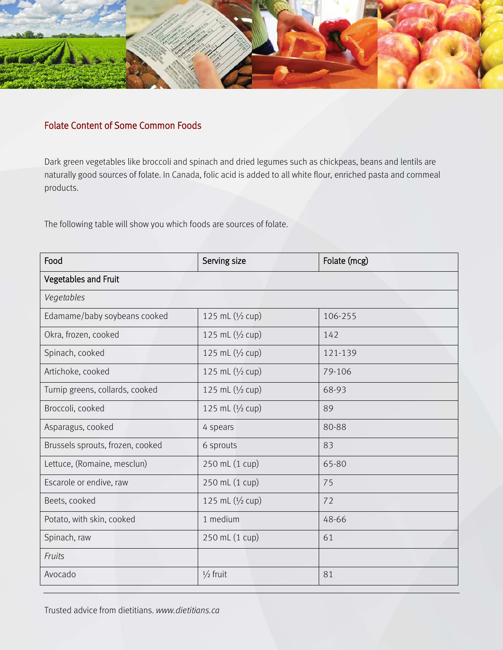

## Folate Content of Some Common Foods

Dark green vegetables like broccoli and spinach and dried legumes such as chickpeas, beans and lentils are naturally good sources of folate. In Canada, folic acid is added to all white flour, enriched pasta and cornmeal products.

The following table will show you which foods are sources of folate.

| Food                             | Serving size        | Folate (mcg) |  |  |
|----------------------------------|---------------------|--------------|--|--|
| Vegetables and Fruit             |                     |              |  |  |
| Vegetables                       |                     |              |  |  |
| Edamame/baby soybeans cooked     | 125 mL $(1/2$ cup)  | 106-255      |  |  |
| Okra, frozen, cooked             | 125 mL (1/2 cup)    | 142          |  |  |
| Spinach, cooked                  | 125 mL $(1/2$ cup)  | 121-139      |  |  |
| Artichoke, cooked                | 125 mL $(1/2$ cup)  | 79-106       |  |  |
| Turnip greens, collards, cooked  | 125 mL $(1/2$ cup)  | 68-93        |  |  |
| Broccoli, cooked                 | 125 mL $(1/2$ cup)  | 89           |  |  |
| Asparagus, cooked                | 4 spears            | 80-88        |  |  |
| Brussels sprouts, frozen, cooked | 6 sprouts           | 83           |  |  |
| Lettuce, (Romaine, mesclun)      | 250 mL (1 cup)      | 65-80        |  |  |
| Escarole or endive, raw          | 250 mL (1 cup)      | 75           |  |  |
| Beets, cooked                    | 125 mL $(1/2$ cup)  | 72           |  |  |
| Potato, with skin, cooked        | 1 medium            | 48-66        |  |  |
| Spinach, raw                     | 250 mL (1 cup)      | 61           |  |  |
| Fruits                           |                     |              |  |  |
| Avocado                          | $\frac{1}{2}$ fruit | 81           |  |  |

Trusted advice from dietitians. *www.dietitians.ca*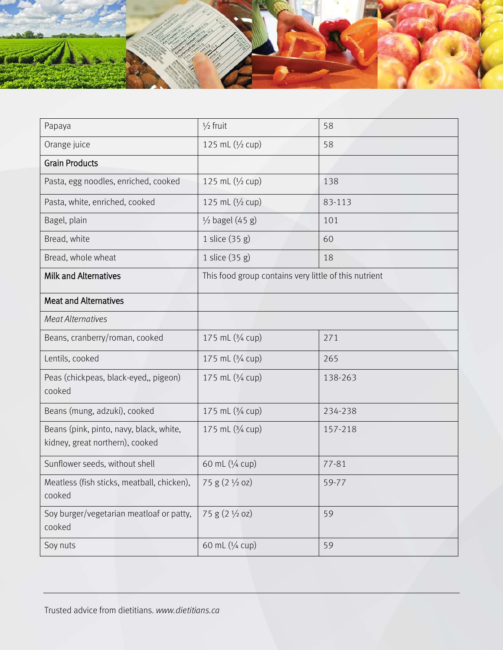

| Papaya                                                                     | $\frac{1}{2}$ fruit                                   | 58      |
|----------------------------------------------------------------------------|-------------------------------------------------------|---------|
| Orange juice                                                               | 125 mL (1/2 cup)                                      | 58      |
| <b>Grain Products</b>                                                      |                                                       |         |
| Pasta, egg noodles, enriched, cooked                                       | 125 mL (1/2 cup)                                      | 138     |
| Pasta, white, enriched, cooked                                             | 125 mL (1/2 cup)                                      | 83-113  |
| Bagel, plain                                                               | $\frac{1}{2}$ bagel (45 g)                            | 101     |
| Bread, white                                                               | 1 slice (35 g)                                        | 60      |
| Bread, whole wheat                                                         | 1 slice (35 g)                                        | 18      |
| <b>Milk and Alternatives</b>                                               | This food group contains very little of this nutrient |         |
| <b>Meat and Alternatives</b>                                               |                                                       |         |
| <b>Meat Alternatives</b>                                                   |                                                       |         |
| Beans, cranberry/roman, cooked                                             | 175 mL (3/4 cup)                                      | 271     |
| Lentils, cooked                                                            | 175 mL (3/4 cup)                                      | 265     |
| Peas (chickpeas, black-eyed,, pigeon)<br>cooked                            | 175 mL (3/4 cup)                                      | 138-263 |
| Beans (mung, adzuki), cooked                                               | 175 mL (3/4 cup)                                      | 234-238 |
| Beans (pink, pinto, navy, black, white,<br>kidney, great northern), cooked | 175 mL (3/4 cup)                                      | 157-218 |
| Sunflower seeds, without shell                                             | 60 mL (1/4 cup)                                       | 77-81   |
| Meatless (fish sticks, meatball, chicken),<br>cooked                       | $75 g (2 \frac{1}{2} oz)$                             | 59-77   |
| Soy burger/vegetarian meatloaf or patty,<br>cooked                         | 75 g (2 1/2 oz)                                       | 59      |
| Soy nuts                                                                   | 60 mL (1/4 cup)                                       | 59      |